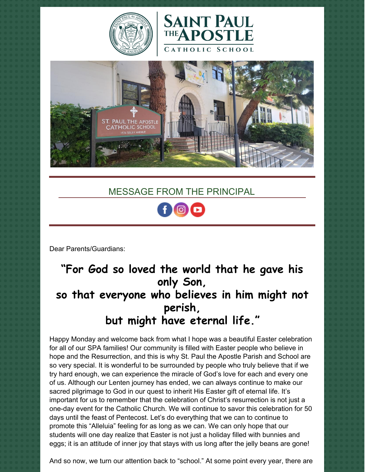





## MESSAGE FROM THE PRINCIPAL



Dear Parents/Guardians:

# **"For God so loved the world that he gave his only Son, so that everyone who believes in him might not perish, but might have eternal life."**

Happy Monday and welcome back from what I hope was a beautiful Easter celebration for all of our SPA families! Our community is filled with Easter people who believe in hope and the Resurrection, and this is why St. Paul the Apostle Parish and School are so very special. It is wonderful to be surrounded by people who truly believe that if we try hard enough, we can experience the miracle of God's love for each and every one of us. Although our Lenten journey has ended, we can always continue to make our sacred pilgrimage to God in our quest to inherit His Easter gift of eternal life. It's important for us to remember that the celebration of Christ's resurrection is not just a one-day event for the Catholic Church. We will continue to savor this celebration for 50 days until the feast of Pentecost. Let's do everything that we can to continue to promote this "Alleluia" feeling for as long as we can. We can only hope that our students will one day realize that Easter is not just a holiday filled with bunnies and eggs; it is an attitude of inner joy that stays with us long after the jelly beans are gone!

And so now, we turn our attention back to "school." At some point every year, there are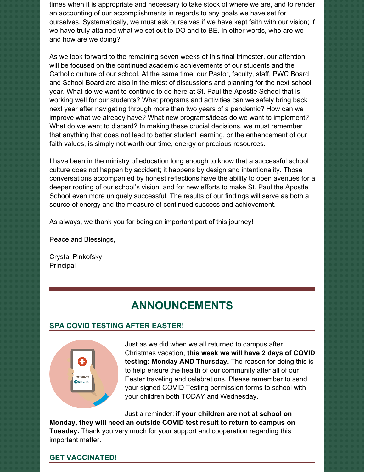times when it is appropriate and necessary to take stock of where we are, and to render an accounting of our accomplishments in regards to any goals we have set for ourselves. Systematically, we must ask ourselves if we have kept faith with our vision; if we have truly attained what we set out to DO and to BE. In other words, who are we and how are we doing?

As we look forward to the remaining seven weeks of this final trimester, our attention will be focused on the continued academic achievements of our students and the Catholic culture of our school. At the same time, our Pastor, faculty, staff, PWC Board and School Board are also in the midst of discussions and planning for the next school year. What do we want to continue to do here at St. Paul the Apostle School that is working well for our students? What programs and activities can we safely bring back next year after navigating through more than two years of a pandemic? How can we improve what we already have? What new programs/ideas do we want to implement? What do we want to discard? In making these crucial decisions, we must remember that anything that does not lead to better student learning, or the enhancement of our faith values, is simply not worth our time, energy or precious resources.

I have been in the ministry of education long enough to know that a successful school culture does not happen by accident; it happens by design and intentionality. Those conversations accompanied by honest reflections have the ability to open avenues for a deeper rooting of our school's vision, and for new efforts to make St. Paul the Apostle School even more uniquely successful. The results of our findings will serve as both a source of energy and the measure of continued success and achievement.

As always, we thank you for being an important part of this journey!

Peace and Blessings,

Crystal Pinkofsky **Principal** 

## **ANNOUNCEMENTS**

## **SPA COVID TESTING AFTER EASTER!**



Just as we did when we all returned to campus after Christmas vacation, **this week we will have 2 days of COVID testing: Monday AND Thursday.** The reason for doing this is to help ensure the health of our community after all of our Easter traveling and celebrations. Please remember to send your signed COVID Testing permission forms to school with your children both TODAY and Wednesday.

Just a reminder: **if your children are not at school on Monday, they will need an outside COVID test result to return to campus on Tuesday.** Thank you very much for your support and cooperation regarding this important matter.

#### **GET VACCINATED!**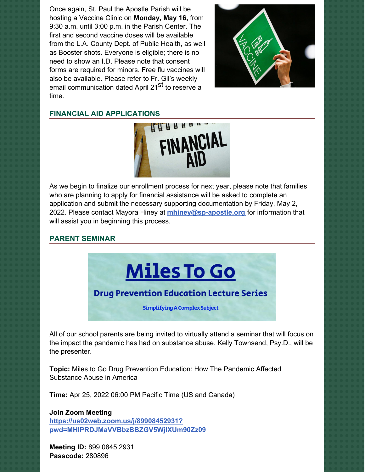Once again, St. Paul the Apostle Parish will be hosting a Vaccine Clinic on **Monday, May 16,** from 9:30 a.m. until 3:00 p.m. in the Parish Center. The first and second vaccine doses will be available from the L.A. County Dept. of Public Health, as well as Booster shots. Everyone is eligible; there is no need to show an I.D. Please note that consent forms are required for minors. Free flu vaccines will also be available. Please refer to Fr. Gil's weekly email communication dated April 21<sup>st</sup> to reserve a time.



#### **FINANCIAL AID APPLICATIONS**



As we begin to finalize our enrollment process for next year, please note that families who are planning to apply for financial assistance will be asked to complete an application and submit the necessary supporting documentation by Friday, May 2, 2022. Please contact Mayora Hiney at **[mhiney@sp-apostle.org](mailto:mhiney@sp-apostle.org)** for information that will assist you in beginning this process.

#### **PARENT SEMINAR**



All of our school parents are being invited to virtually attend a seminar that will focus on the impact the pandemic has had on substance abuse. Kelly Townsend, Psy.D., will be the presenter.

**Topic:** Miles to Go Drug Prevention Education: How The Pandemic Affected Substance Abuse in America

**Time:** Apr 25, 2022 06:00 PM Pacific Time (US and Canada)

**Join Zoom Meeting https://us02web.zoom.us/j/89908452931? [pwd=MHlPRDJMaVVBbzBBZGV5WjlXUm90Zz09](https://us02web.zoom.us/j/89908452931?pwd=MHlPRDJMaVVBbzBBZGV5WjlXUm90Zz09)**

**Meeting ID:** 899 0845 2931 **Passcode:** 280896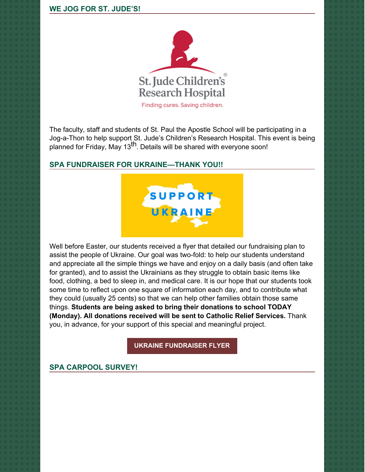

The faculty, staff and students of St. Paul the Apostle School will be participating in a Jog-a-Thon to help support St. Jude's Children's Research Hospital. This event is being planned for Friday, May 13<sup>th</sup>. Details will be shared with everyone soon!

## **SPA FUNDRAISER FOR UKRAINE—THANK YOU!!**



Well before Easter, our students received a flyer that detailed our fundraising plan to assist the people of Ukraine. Our goal was two-fold: to help our students understand and appreciate all the simple things we have and enjoy on a daily basis (and often take for granted), and to assist the Ukrainians as they struggle to obtain basic items like food, clothing, a bed to sleep in, and medical care. It is our hope that our students took some time to reflect upon one square of information each day, and to contribute what they could (usually 25 cents) so that we can help other families obtain those same things. **Students are being asked to bring their donations to school TODAY (Monday). All donations received will be sent to Catholic Relief Services.** Thank you, in advance, for your support of this special and meaningful project.

**UKRAINE [FUNDRAISER](https://school.sp-apostle.org/wp-content/uploads/2022/03/I-Am-Blessed-Ukraine-Fundraiser.pdf) FLYER**

## **SPA CARPOOL SURVEY!**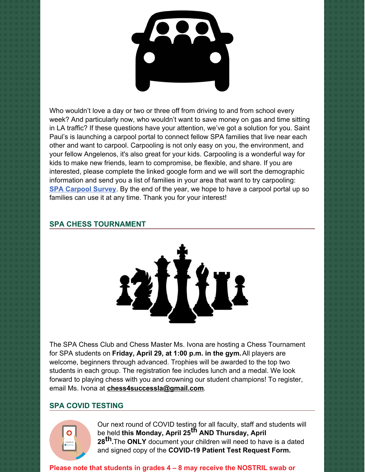

Who wouldn't love a day or two or three off from driving to and from school every week? And particularly now, who wouldn't want to save money on gas and time sitting in LA traffic? If these questions have your attention, we've got a solution for you. Saint Paul's is launching a carpool portal to connect fellow SPA families that live near each other and want to carpool. Carpooling is not only easy on you, the environment, and your fellow Angelenos, it's also great for your kids. Carpooling is a wonderful way for kids to make new friends, learn to compromise, be flexible, and share. If you are interested, please complete the linked google form and we will sort the demographic information and send you a list of families in your area that want to try carpooling: **SPA [Carpool](https://docs.google.com/forms/d/e/1FAIpQLScLjqBrzKfE7m43iTeH7YdU1iFhmNZ5jjmI9xPf6nOF9dnMSQ/viewform) Survey**. By the end of the year, we hope to have a carpool portal up so families can use it at any time. Thank you for your interest!

### **SPA CHESS TOURNAMENT**



The SPA Chess Club and Chess Master Ms. Ivona are hosting a Chess Tournament for SPA students on **Friday, April 29, at 1:00 p.m. in the gym.**All players are welcome, beginners through advanced. Trophies will be awarded to the top two students in each group. The registration fee includes lunch and a medal. We look forward to playing chess with you and crowning our student champions! To register, email Ms. Ivona at **[chess4successla@gmail.com](mailto:chess4successla@gmail.com)**.

## **SPA COVID TESTING**



Our next round of COVID testing for all faculty, staff and students will be held **this Monday, April 25 th AND Thursday, April 28 th.**The **ONLY** document your children will need to have is a dated and signed copy of the **COVID-19 Patient Test Request Form.**

**Please note that students in grades 4 – 8 may receive the NOSTRIL swab or**